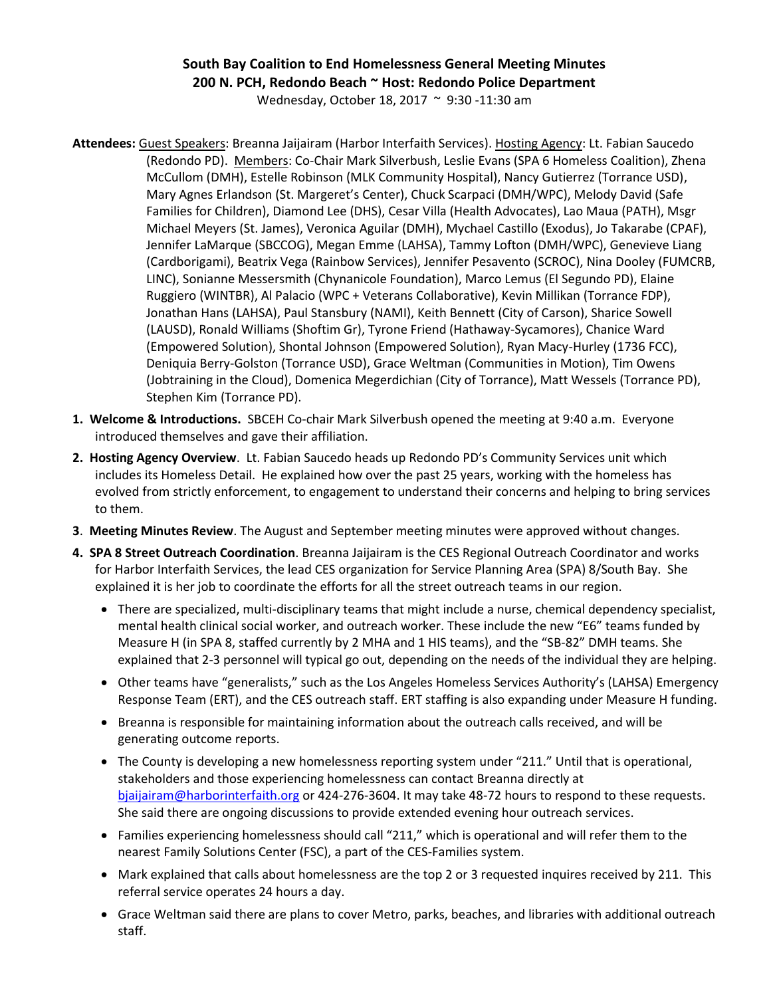## **South Bay Coalition to End Homelessness General Meeting Minutes 200 N. PCH, Redondo Beach ~ Host: Redondo Police Department**

Wednesday, October 18, 2017 ~ 9:30 -11:30 am

- **Attendees:** Guest Speakers: Breanna Jaijairam (Harbor Interfaith Services). Hosting Agency: Lt. Fabian Saucedo (Redondo PD). Members: Co-Chair Mark Silverbush, Leslie Evans (SPA 6 Homeless Coalition), Zhena McCullom (DMH), Estelle Robinson (MLK Community Hospital), Nancy Gutierrez (Torrance USD), Mary Agnes Erlandson (St. Margeret's Center), Chuck Scarpaci (DMH/WPC), Melody David (Safe Families for Children), Diamond Lee (DHS), Cesar Villa (Health Advocates), Lao Maua (PATH), Msgr Michael Meyers (St. James), Veronica Aguilar (DMH), Mychael Castillo (Exodus), Jo Takarabe (CPAF), Jennifer LaMarque (SBCCOG), Megan Emme (LAHSA), Tammy Lofton (DMH/WPC), Genevieve Liang (Cardborigami), Beatrix Vega (Rainbow Services), Jennifer Pesavento (SCROC), Nina Dooley (FUMCRB, LINC), Sonianne Messersmith (Chynanicole Foundation), Marco Lemus (El Segundo PD), Elaine Ruggiero (WINTBR), Al Palacio (WPC + Veterans Collaborative), Kevin Millikan (Torrance FDP), Jonathan Hans (LAHSA), Paul Stansbury (NAMI), Keith Bennett (City of Carson), Sharice Sowell (LAUSD), Ronald Williams (Shoftim Gr), Tyrone Friend (Hathaway-Sycamores), Chanice Ward (Empowered Solution), Shontal Johnson (Empowered Solution), Ryan Macy-Hurley (1736 FCC), Deniquia Berry-Golston (Torrance USD), Grace Weltman (Communities in Motion), Tim Owens (Jobtraining in the Cloud), Domenica Megerdichian (City of Torrance), Matt Wessels (Torrance PD), Stephen Kim (Torrance PD).
- **1. Welcome & Introductions.** SBCEH Co-chair Mark Silverbush opened the meeting at 9:40 a.m. Everyone introduced themselves and gave their affiliation.
- **2. Hosting Agency Overview**. Lt. Fabian Saucedo heads up Redondo PD's Community Services unit which includes its Homeless Detail. He explained how over the past 25 years, working with the homeless has evolved from strictly enforcement, to engagement to understand their concerns and helping to bring services to them.
- **3**. **Meeting Minutes Review**. The August and September meeting minutes were approved without changes.
- **4. SPA 8 Street Outreach Coordination**. Breanna Jaijairam is the CES Regional Outreach Coordinator and works for Harbor Interfaith Services, the lead CES organization for Service Planning Area (SPA) 8/South Bay. She explained it is her job to coordinate the efforts for all the street outreach teams in our region.
	- There are specialized, multi-disciplinary teams that might include a nurse, chemical dependency specialist, mental health clinical social worker, and outreach worker. These include the new "E6" teams funded by Measure H (in SPA 8, staffed currently by 2 MHA and 1 HIS teams), and the "SB-82" DMH teams. She explained that 2-3 personnel will typical go out, depending on the needs of the individual they are helping.
	- Other teams have "generalists," such as the Los Angeles Homeless Services Authority's (LAHSA) Emergency Response Team (ERT), and the CES outreach staff. ERT staffing is also expanding under Measure H funding.
	- Breanna is responsible for maintaining information about the outreach calls received, and will be generating outcome reports.
	- The County is developing a new homelessness reporting system under "211." Until that is operational, stakeholders and those experiencing homelessness can contact Breanna directly at [bjaijairam@harborinterfaith.org](mailto:bjaijairam@harborinterfaith.org) or 424-276-3604. It may take 48-72 hours to respond to these requests. She said there are ongoing discussions to provide extended evening hour outreach services.
	- Families experiencing homelessness should call "211," which is operational and will refer them to the nearest Family Solutions Center (FSC), a part of the CES-Families system.
	- Mark explained that calls about homelessness are the top 2 or 3 requested inquires received by 211. This referral service operates 24 hours a day.
	- Grace Weltman said there are plans to cover Metro, parks, beaches, and libraries with additional outreach staff.